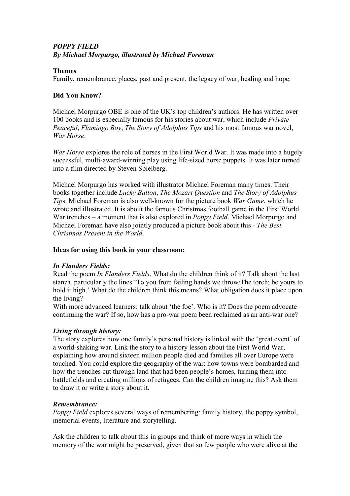# *POPPY FIELD By Michael Morpurgo, illustrated by Michael Foreman*

## **Themes**

Family, remembrance, places, past and present, the legacy of war, healing and hope.

## **Did You Know?**

Michael Morpurgo OBE is one of the UK's top children's authors. He has written over 100 books and is especially famous for his stories about war, which include *Private Peaceful*, *Flamingo Boy*, *The Story of Adolphus Tips* and his most famous war novel, *War Horse*.

*War Horse* explores the role of horses in the First World War. It was made into a hugely successful, multi-award-winning play using life-sized horse puppets. It was later turned into a film directed by Steven Spielberg.

Michael Morpurgo has worked with illustrator Michael Foreman many times. Their books together include *Lucky Button*, *The Mozart Question* and *The Story of Adolphus Tip*s. Michael Foreman is also well-known for the picture book *War Game*, which he wrote and illustrated. It is about the famous Christmas football game in the First World War trenches – a moment that is also explored in *Poppy Field*. Michael Morpurgo and Michael Foreman have also jointly produced a picture book about this - *The Best Christmas Present in the World*.

### **Ideas for using this book in your classroom:**

# *In Flanders Fields:*

Read the poem *In Flanders Fields*. What do the children think of it? Talk about the last stanza, particularly the lines 'To you from failing hands we throw/The torch; be yours to hold it high.' What do the children think this means? What obligation does it place upon the living?

With more advanced learners: talk about 'the foe'. Who is it? Does the poem advocate continuing the war? If so, how has a pro-war poem been reclaimed as an anti-war one?

### *Living through history:*

The story explores how one family's personal history is linked with the 'great event' of a world-shaking war. Link the story to a history lesson about the First World War, explaining how around sixteen million people died and families all over Europe were touched. You could explore the geography of the war: how towns were bombarded and how the trenches cut through land that had been people's homes, turning them into battlefields and creating millions of refugees. Can the children imagine this? Ask them to draw it or write a story about it.

### *Remembrance:*

*Poppy Field* explores several ways of remembering: family history, the poppy symbol, memorial events, literature and storytelling.

Ask the children to talk about this in groups and think of more ways in which the memory of the war might be preserved, given that so few people who were alive at the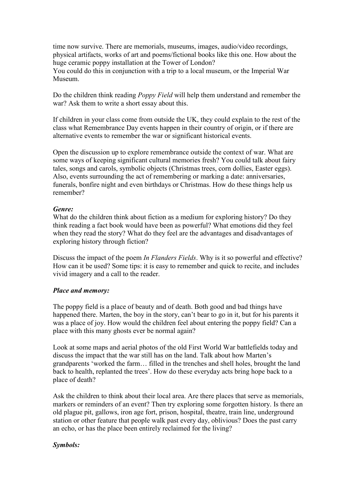time now survive. There are memorials, museums, images, audio/video recordings, physical artifacts, works of art and poems/fictional books like this one. How about the huge ceramic poppy installation at the Tower of London?

You could do this in conjunction with a trip to a local museum, or the Imperial War Museum.

Do the children think reading *Poppy Field* will help them understand and remember the war? Ask them to write a short essay about this.

If children in your class come from outside the UK, they could explain to the rest of the class what Remembrance Day events happen in their country of origin, or if there are alternative events to remember the war or significant historical events.

Open the discussion up to explore remembrance outside the context of war. What are some ways of keeping significant cultural memories fresh? You could talk about fairy tales, songs and carols, symbolic objects (Christmas trees, corn dollies, Easter eggs). Also, events surrounding the act of remembering or marking a date: anniversaries, funerals, bonfire night and even birthdays or Christmas. How do these things help us remember?

#### *Genre:*

What do the children think about fiction as a medium for exploring history? Do they think reading a fact book would have been as powerful? What emotions did they feel when they read the story? What do they feel are the advantages and disadvantages of exploring history through fiction?

Discuss the impact of the poem *In Flanders Fields*. Why is it so powerful and effective? How can it be used? Some tips: it is easy to remember and quick to recite, and includes vivid imagery and a call to the reader.

#### *Place and memory:*

The poppy field is a place of beauty and of death. Both good and bad things have happened there. Marten, the boy in the story, can't bear to go in it, but for his parents it was a place of joy. How would the children feel about entering the poppy field? Can a place with this many ghosts ever be normal again?

Look at some maps and aerial photos of the old First World War battlefields today and discuss the impact that the war still has on the land. Talk about how Marten's grandparents 'worked the farm… filled in the trenches and shell holes, brought the land back to health, replanted the trees'. How do these everyday acts bring hope back to a place of death?

Ask the children to think about their local area. Are there places that serve as memorials, markers or reminders of an event? Then try exploring some forgotten history. Is there an old plague pit, gallows, iron age fort, prison, hospital, theatre, train line, underground station or other feature that people walk past every day, oblivious? Does the past carry an echo, or has the place been entirely reclaimed for the living?

### *Symbols:*